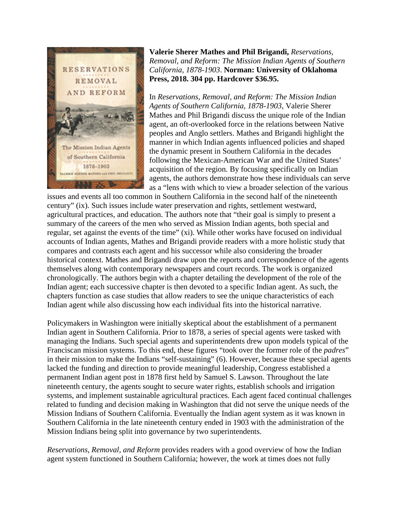

**Valerie Sherer Mathes and Phil Brigandi,** *Reservations, Removal, and Reform: The Mission Indian Agents of Southern California, 1878-1903*. **Norman: University of Oklahoma Press, 2018. 304 pp. Hardcover \$36.95.**

In *Reservations, Removal, and Reform: The Mission Indian Agents of Southern California, 1878-1903*, Valerie Sherer Mathes and Phil Brigandi discuss the unique role of the Indian agent, an oft-overlooked force in the relations between Native peoples and Anglo settlers. Mathes and Brigandi highlight the manner in which Indian agents influenced policies and shaped the dynamic present in Southern California in the decades following the Mexican-American War and the United States' acquisition of the region. By focusing specifically on Indian agents, the authors demonstrate how these individuals can serve as a "lens with which to view a broader selection of the various

issues and events all too common in Southern California in the second half of the nineteenth century" (ix). Such issues include water preservation and rights, settlement westward, agricultural practices, and education. The authors note that "their goal is simply to present a summary of the careers of the men who served as Mission Indian agents, both special and regular, set against the events of the time" (xi). While other works have focused on individual accounts of Indian agents, Mathes and Brigandi provide readers with a more holistic study that compares and contrasts each agent and his successor while also considering the broader historical context. Mathes and Brigandi draw upon the reports and correspondence of the agents themselves along with contemporary newspapers and court records. The work is organized chronologically. The authors begin with a chapter detailing the development of the role of the Indian agent; each successive chapter is then devoted to a specific Indian agent. As such, the chapters function as case studies that allow readers to see the unique characteristics of each Indian agent while also discussing how each individual fits into the historical narrative.

Policymakers in Washington were initially skeptical about the establishment of a permanent Indian agent in Southern California. Prior to 1878, a series of special agents were tasked with managing the Indians. Such special agents and superintendents drew upon models typical of the Franciscan mission systems. To this end, these figures "took over the former role of the *padres*" in their mission to make the Indians "self-sustaining" (6). However, because these special agents lacked the funding and direction to provide meaningful leadership, Congress established a permanent Indian agent post in 1878 first held by Samuel S. Lawson. Throughout the late nineteenth century, the agents sought to secure water rights, establish schools and irrigation systems, and implement sustainable agricultural practices. Each agent faced continual challenges related to funding and decision making in Washington that did not serve the unique needs of the Mission Indians of Southern California. Eventually the Indian agent system as it was known in Southern California in the late nineteenth century ended in 1903 with the administration of the Mission Indians being split into governance by two superintendents.

*Reservations, Removal, and Reform* provides readers with a good overview of how the Indian agent system functioned in Southern California; however, the work at times does not fully